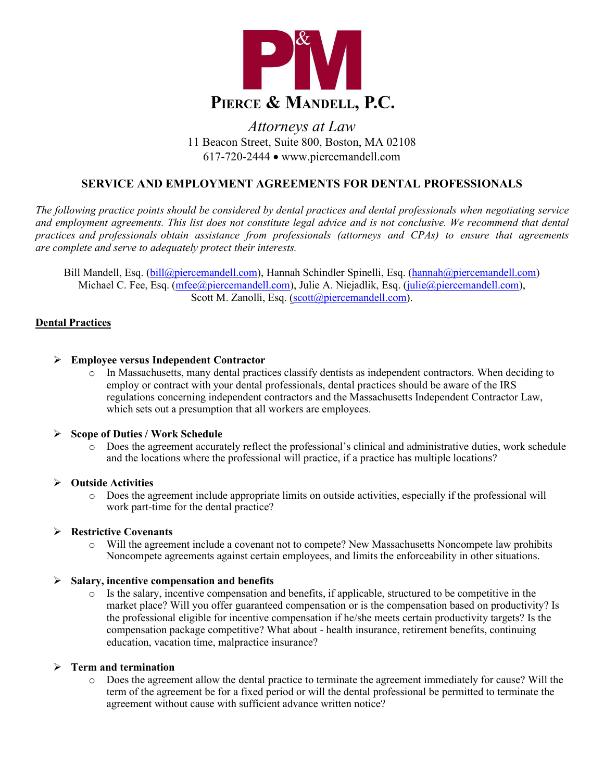

# *Attorneys at Law* 11 Beacon Street, Suite 800, Boston, MA 02108 617-720-2444 • [www.piercemandell.com](http://www.piercemandell.com/)

## **SERVICE AND EMPLOYMENT AGREEMENTS FOR DENTAL PROFESSIONALS**

*The following practice points should be considered by dental practices and dental professionals when negotiating service and employment agreements. This list does not constitute legal advice and is not conclusive. We recommend that dental practices and professionals obtain assistance from professionals (attorneys and CPAs) to ensure that agreements are complete and serve to adequately protect their interests.*

Bill Mandell, Esq. [\(bill@piercemandell.com\)](mailto:bill@piercemandell.com), Hannah Schindler Spinelli, Esq. [\(hannah@piercemandell.com\)](mailto:hannah@piercemandell.com) Michael C. Fee, Esq. [\(mfee@piercemandell.com\),](mailto:mfee@piercemandell.com) Julie A. Niejadlik, Esq. [\(julie@piercemandell.com\),](mailto:shoff@piercemandell.com) Scott M. Zanolli, Esq. [\(scott@piercemandell.com\)](mailto:scott@piercemandell.com).

#### **Dental Practices**

#### **Employee versus Independent Contractor**

o In Massachusetts, many dental practices classify dentists as independent contractors. When deciding to employ or contract with your dental professionals, dental practices should be aware of the IRS regulations concerning independent contractors and the Massachusetts Independent Contractor Law, which sets out a presumption that all workers are employees.

#### **Scope of Duties / Work Schedule**

o Does the agreement accurately reflect the professional's clinical and administrative duties, work schedule and the locations where the professional will practice, if a practice has multiple locations?

#### **Outside Activities**

o Does the agreement include appropriate limits on outside activities, especially if the professional will work part-time for the dental practice?

#### **Restrictive Covenants**

o Will the agreement include a covenant not to compete? New Massachusetts Noncompete law prohibits Noncompete agreements against certain employees, and limits the enforceability in other situations.

#### **Salary, incentive compensation and benefits**

o Is the salary, incentive compensation and benefits, if applicable, structured to be competitive in the market place? Will you offer guaranteed compensation or is the compensation based on productivity? Is the professional eligible for incentive compensation if he/she meets certain productivity targets? Is the compensation package competitive? What about - health insurance, retirement benefits, continuing education, vacation time, malpractice insurance?

#### **Term and termination**

o Does the agreement allow the dental practice to terminate the agreement immediately for cause? Will the term of the agreement be for a fixed period or will the dental professional be permitted to terminate the agreement without cause with sufficient advance written notice?